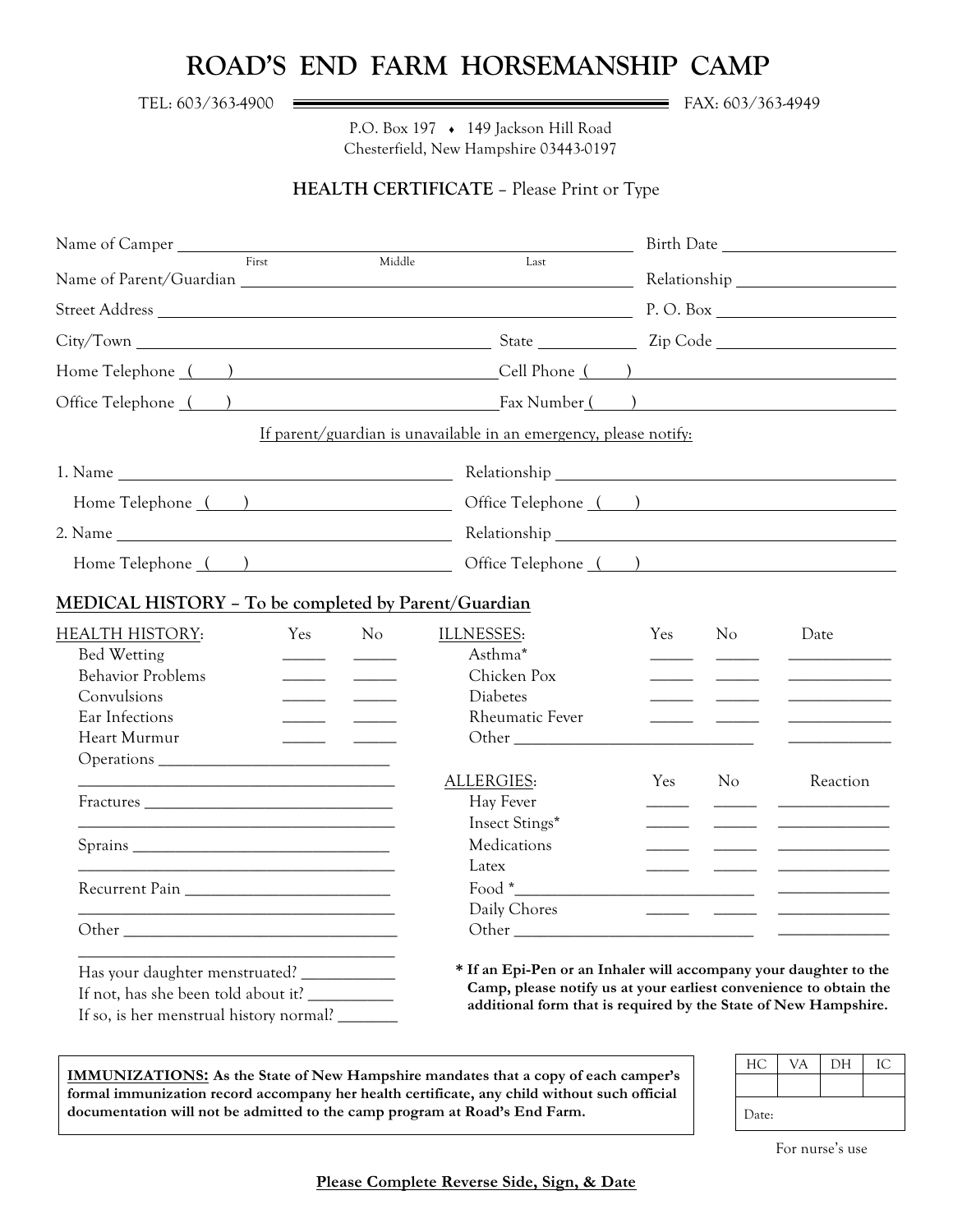## **ROAD'S END FARM HORSEMANSHIP CAMP**

TEL: 603/363-4900 <del>Exercise Contract Contract Contract Contract Contract Contract Contract Contract Contract Contract Contract Contract Contract Contract Contract Contract Contract Contract Contract Contract Contract Contr</del>

P.O. Box 197 ♦ 149 Jackson Hill Road Chesterfield, New Hampshire 03443-0197

## **HEALTH CERTIFICATE** – Please Print or Type

| Name of Camper<br>First                                                                                                                          |                |                                                                                                                                                                                                                                                                                                                        |                          |     |                                                                                                                      |
|--------------------------------------------------------------------------------------------------------------------------------------------------|----------------|------------------------------------------------------------------------------------------------------------------------------------------------------------------------------------------------------------------------------------------------------------------------------------------------------------------------|--------------------------|-----|----------------------------------------------------------------------------------------------------------------------|
|                                                                                                                                                  |                | Middle<br>Last                                                                                                                                                                                                                                                                                                         |                          |     |                                                                                                                      |
|                                                                                                                                                  |                |                                                                                                                                                                                                                                                                                                                        |                          |     |                                                                                                                      |
|                                                                                                                                                  |                |                                                                                                                                                                                                                                                                                                                        |                          |     |                                                                                                                      |
| Home Telephone () Cell Phone ()                                                                                                                  |                |                                                                                                                                                                                                                                                                                                                        |                          |     |                                                                                                                      |
| Office Telephone () Fax Number ()                                                                                                                |                |                                                                                                                                                                                                                                                                                                                        |                          |     |                                                                                                                      |
|                                                                                                                                                  |                | If parent/guardian is unavailable in an emergency, please notify:                                                                                                                                                                                                                                                      |                          |     |                                                                                                                      |
|                                                                                                                                                  |                |                                                                                                                                                                                                                                                                                                                        |                          |     |                                                                                                                      |
| Home Telephone ()                                                                                                                                |                | Office Telephone ()                                                                                                                                                                                                                                                                                                    |                          |     |                                                                                                                      |
|                                                                                                                                                  |                |                                                                                                                                                                                                                                                                                                                        |                          |     |                                                                                                                      |
| Home Telephone () Cffice Telephone ()                                                                                                            |                |                                                                                                                                                                                                                                                                                                                        |                          |     |                                                                                                                      |
| MEDICAL HISTORY - To be completed by Parent/Guardian                                                                                             |                |                                                                                                                                                                                                                                                                                                                        |                          |     |                                                                                                                      |
| <b>HEALTH HISTORY:</b><br>Yes                                                                                                                    | N <sub>o</sub> | ILLNESSES:                                                                                                                                                                                                                                                                                                             | Yes                      | No  | Date                                                                                                                 |
| Bed Wetting                                                                                                                                      |                | Asthma*                                                                                                                                                                                                                                                                                                                |                          |     | <u> Alexandria (m. 1888)</u>                                                                                         |
| <b>Behavior Problems</b><br><u> Albanya di Barat di Barat di Barat di Barat di Barat di Barat di Barat di Barat di Barat di Barat di Barat d</u> |                | Chicken Pox                                                                                                                                                                                                                                                                                                            |                          |     |                                                                                                                      |
| Convulsions                                                                                                                                      |                | <b>Diabetes</b>                                                                                                                                                                                                                                                                                                        |                          |     |                                                                                                                      |
| Ear Infections                                                                                                                                   |                | <b>Rheumatic Fever</b>                                                                                                                                                                                                                                                                                                 |                          |     | <u> ——————————————</u>                                                                                               |
| Heart Murmur                                                                                                                                     |                |                                                                                                                                                                                                                                                                                                                        |                          |     |                                                                                                                      |
|                                                                                                                                                  |                |                                                                                                                                                                                                                                                                                                                        |                          |     |                                                                                                                      |
|                                                                                                                                                  |                | ALLERGIES:                                                                                                                                                                                                                                                                                                             | Yes                      | No. | Reaction                                                                                                             |
|                                                                                                                                                  |                | Hay Fever                                                                                                                                                                                                                                                                                                              |                          |     |                                                                                                                      |
|                                                                                                                                                  |                | Insect Stings*                                                                                                                                                                                                                                                                                                         |                          |     |                                                                                                                      |
|                                                                                                                                                  |                | Medications                                                                                                                                                                                                                                                                                                            | $\overline{\phantom{a}}$ |     | <u> Alexandro de Alexandro de Alexandro de Alexandro de Alexandro de Alexandro de Alexandro de Alexandro de Alex</u> |
|                                                                                                                                                  |                | Latex                                                                                                                                                                                                                                                                                                                  |                          |     |                                                                                                                      |
| Recurrent Pain                                                                                                                                   |                | $\frac{1}{2}$ Food $\frac{1}{2}$ $\frac{1}{2}$ $\frac{1}{2}$ $\frac{1}{2}$ $\frac{1}{2}$ $\frac{1}{2}$ $\frac{1}{2}$ $\frac{1}{2}$ $\frac{1}{2}$ $\frac{1}{2}$ $\frac{1}{2}$ $\frac{1}{2}$ $\frac{1}{2}$ $\frac{1}{2}$ $\frac{1}{2}$ $\frac{1}{2}$ $\frac{1}{2}$ $\frac{1}{2}$ $\frac{1}{2}$ $\frac{1}{2}$ $\frac{1}{$ |                          |     |                                                                                                                      |
|                                                                                                                                                  |                | Daily Chores                                                                                                                                                                                                                                                                                                           |                          |     |                                                                                                                      |
|                                                                                                                                                  |                |                                                                                                                                                                                                                                                                                                                        |                          |     |                                                                                                                      |
| Has your daughter menstruated? _____________                                                                                                     |                | * If an Epi-Pen or an Inhaler will accompany your daughter to the                                                                                                                                                                                                                                                      |                          |     |                                                                                                                      |
|                                                                                                                                                  |                | Camp, please notify us at your earliest convenience to obtain the                                                                                                                                                                                                                                                      |                          |     |                                                                                                                      |
| If so, is her menstrual history normal?                                                                                                          |                | additional form that is required by the State of New Hampshire.                                                                                                                                                                                                                                                        |                          |     |                                                                                                                      |

**IMMUNIZATIONS: As the State of New Hampshire mandates that a copy of each camper's formal immunization record accompany her health certificate, any child without such official documentation will not be admitted to the camp program at Road's End Farm.**

| HС    | `/A | DН |  |
|-------|-----|----|--|
|       |     |    |  |
| Date: |     |    |  |